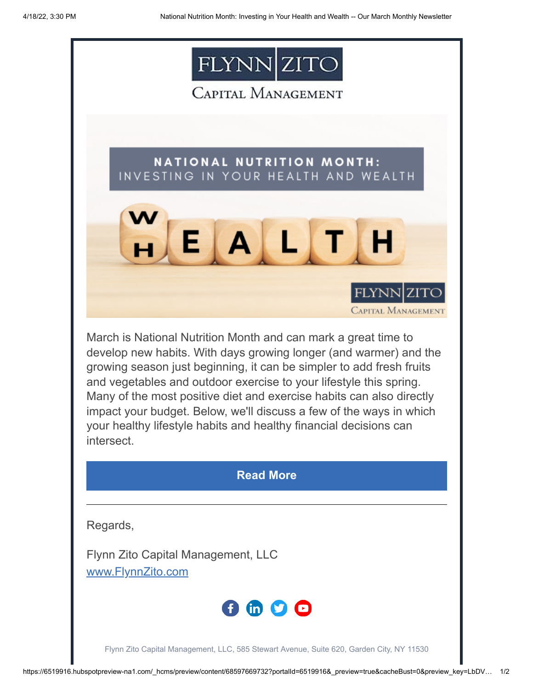

CAPITAL MANAGEMENT

**NATIONAL NUTRITION MONTH:** INVESTING IN YOUR HEALTH AND WEALTH



March is National Nutrition Month and can mark a great time to develop new habits. With days growing longer (and warmer) and the growing season just beginning, it can be simpler to add fresh fruits and vegetables and outdoor exercise to your lifestyle this spring. Many of the most positive diet and exercise habits can also directly impact your budget. Below, we'll discuss a few of the ways in which your healthy lifestyle habits and healthy financial decisions can intersect.

## **[Read More](https://www.flynnzito.com/blog/national-nutrition-month-investing-your-health-and-wealth?utm_source=hs_email&utm_medium=email&_hsenc=p2ANqtz-86ROWqQ04aABrZytkPaD3sjgXRoShNBK97cmfgYGr90-d17H05hSmAkIoAqZYtCnowvoyP)**

Regards,

Flynn Zito Capital Management, LLC [www.FlynnZito.com](https://www.flynnzito.com/?utm_source=hs_email&utm_medium=email&_hsenc=p2ANqtz-86ROWqQ04aABrZytkPaD3sjgXRoShNBK97cmfgYGr90-d17H05hSmAkIoAqZYtCnowvoyP)



Flynn Zito Capital Management, LLC, 585 Stewart Avenue, Suite 620, Garden City, NY 11530